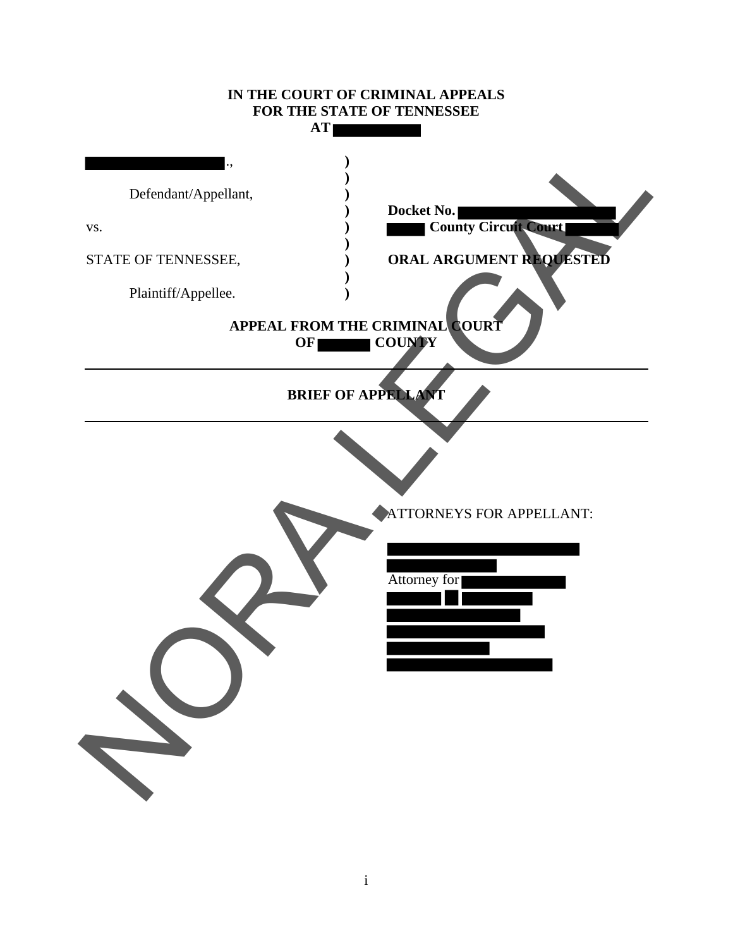# **IN THE COURT OF CRIMINAL APPEALS FOR THE STATE OF TENNESSEE AT**  ., **) )** Defendant/Appellant, **) ) Docket No.** vs. **a ) County Circuit Court )** STATE OF TENNESSEE,  $\overrightarrow{O}$  **ORAL ARGUMENT REQUESTED )** Plaintiff/Appellee. **) APPEAL FROM THE CRIMINAL COURT OF COUNTY BRIEF OF APPELLANT**  ATTORNEYS FOR APPELLANT: Attorney for Defendant/Appellant.<br>
STATE OF TENNESSEE.<br>
Plaintif/Appellee.<br>
APPEAL FROM THE CRIMINAL QUATERNIAL STATE OF TENNESSEE.<br>
APPEAL FROM THE CRIMINAL QUATERNIAL STATE OF TENNESS FOR APPELLANT:<br>
BRIEF OF APPEAL OF TENNESS FOR AP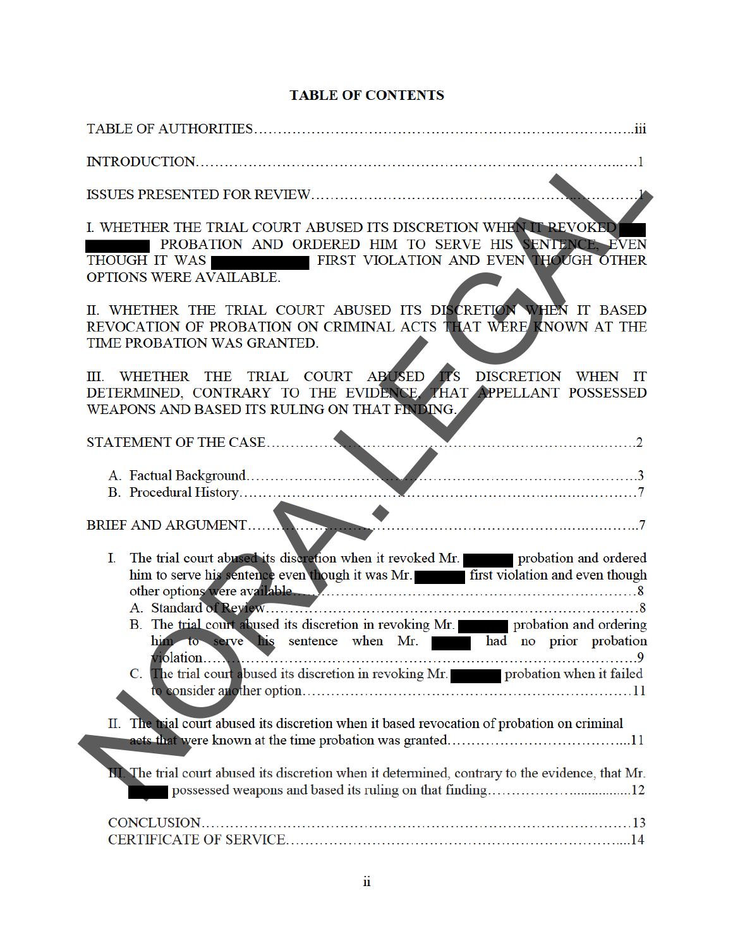## **TABLE OF CONTENTS**

| I. WHETHER THE TRIAL COURT ABUSED ITS DISCRETION WHEN IT REVOKED<br>PROBATION AND ORDERED HIM TO SERVE HIS SENTENCE, EVEN<br>THOUGH IT WAS FIRST VIOLATION AND EVEN THOUGH OTHER<br>OPTIONS WERE AVAILABLE.                                                                                                                        |
|------------------------------------------------------------------------------------------------------------------------------------------------------------------------------------------------------------------------------------------------------------------------------------------------------------------------------------|
| II. WHETHER THE TRIAL COURT ABUSED ITS DISCRETION WHEN IT BASED<br>REVOCATION OF PROBATION ON CRIMINAL ACTS THAT WERE KNOWN AT THE<br>TIME PROBATION WAS GRANTED.                                                                                                                                                                  |
| WHETHER THE TRIAL COURT ABUSED TS DISCRETION WHEN IT<br>III.<br>DETERMINED, CONTRARY TO THE EVIDENCE, THAT APPELLANT POSSESSED<br>WEAPONS AND BASED ITS RULING ON THAT FINDING.                                                                                                                                                    |
|                                                                                                                                                                                                                                                                                                                                    |
| A. Factual Background.                                                                                                                                                                                                                                                                                                             |
| BRIEF AND ARGUMENT.                                                                                                                                                                                                                                                                                                                |
| The trial court abused its discretion when it revoked Mr. The probation and ordered<br>I.<br>him to serve his sentence even though it was Mr. This first violation and even though<br>B. The trial court abused its discretion in revoking Mr. Probation and ordering<br>him to serve his sentence when Mr. had no prior probation |
| C. The trial court abused its discretion in revoking Mr. The probation when it failed                                                                                                                                                                                                                                              |
| II. The trial court abused its discretion when it based revocation of probation on criminal                                                                                                                                                                                                                                        |
| II. The trial court abused its discretion when it determined, contrary to the evidence, that Mr.                                                                                                                                                                                                                                   |
|                                                                                                                                                                                                                                                                                                                                    |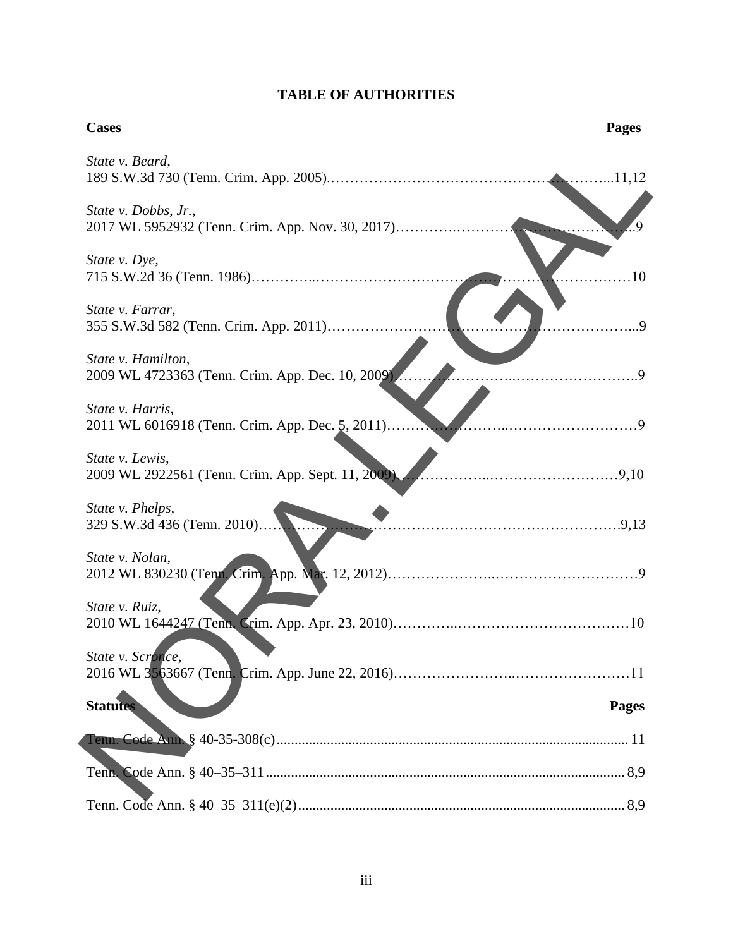# **TABLE OF AUTHORITIES**

| <b>Cases</b>                                                             | <b>Pages</b> |
|--------------------------------------------------------------------------|--------------|
| State v. Beard,                                                          |              |
| State v. Dobbs, Jr.,<br>2017 WL 5952932 (Tenn. Crim. App. Nov. 30, 2017) |              |
| State v. Dye,                                                            | .10          |
| State v. Farrar,<br>355 S.W.3d 582 (Tenn. Crim. App. 2011)               | . 9          |
| State v. Hamilton,<br>2009 WL 4723363 (Tenn. Crim. App. Dec. 10, 2009).  |              |
| State v. Harris,<br>2011 WL 6016918 (Tenn. Crim. App. Dec. 5, 2011)      |              |
| State v. Lewis,<br>2009 WL 2922561 (Tenn. Crim. App. Sept. 11, 2009)     |              |
| State v. Phelps,<br>329 S.W.3d 436 (Tenn. 2010)                          |              |
| State v. Nolan,                                                          |              |
| State v. Ruiz,                                                           |              |
| State v. Scronce,                                                        |              |
| <b>Statutes</b>                                                          | <b>Pages</b> |
|                                                                          |              |
|                                                                          |              |
|                                                                          |              |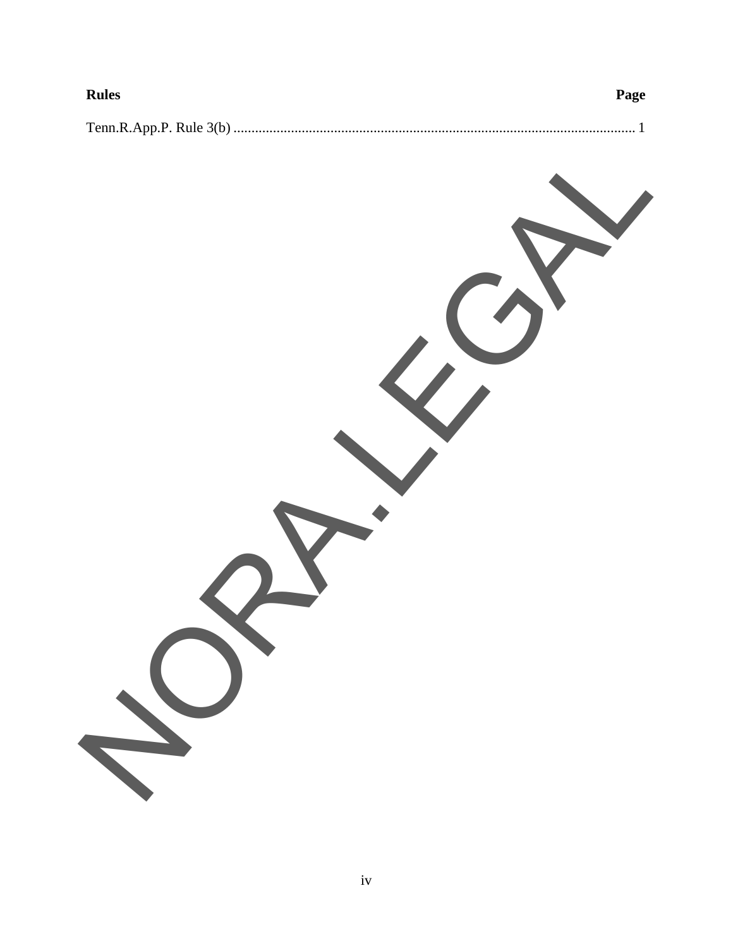| <b>Rules</b> | Page |  |
|--------------|------|--|
|              |      |  |

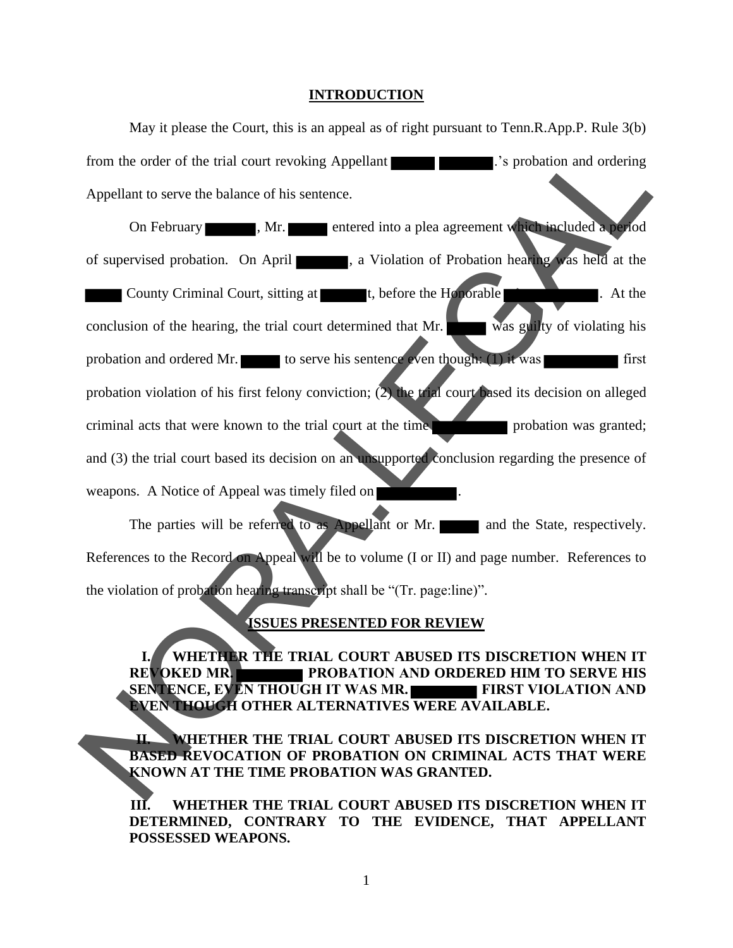#### **INTRODUCTION**

May it please the Court, this is an appeal as of right pursuant to Tenn.R.App.P. Rule 3(b) from the order of the trial court revoking Appellant ... Sprobation and ordering Appellant to serve the balance of his sentence.

On February , Mr. entered into a plea agreement which included a period of supervised probation. On April 1. a Violation of Probation hearing was held at the County Criminal Court, sitting at  $\blacksquare$  t, before the Honorable  $\blacksquare$ . At the conclusion of the hearing, the trial court determined that Mr. was guilty of violating his probation and ordered Mr. to serve his sentence even though:  $(1)$  it was first probation violation of his first felony conviction; (2) the trial court based its decision on alleged criminal acts that were known to the trial court at the time and (3) the trial court based its decision on an unsupported conclusion regarding the presence of weapons. A Notice of Appeal was timely filed on To the order of the trial court revoking Appellant<br>
Appellant to serve the balance of his sentence.<br>
On February 1. Mr. The entered into a plea agreement with a dided world<br>
of supervised probation. On April 1. a Violation

The parties will be referred to as Appellant or Mr. and the State, respectively. References to the Record on Appeal will be to volume (I or II) and page number. References to the violation of probation hearing transcript shall be "(Tr. page:line)".

#### **ISSUES PRESENTED FOR REVIEW**

**I. WHETHER THE TRIAL COURT ABUSED ITS DISCRETION WHEN IT REVOKED MR. PROBATION AND ORDERED HIM TO SERVE HIS SENTENCE, EVEN THOUGH IT WAS MR.** FIRST VIOLATION AND **EVEN THOUGH OTHER ALTERNATIVES WERE AVAILABLE.**

**II. WHETHER THE TRIAL COURT ABUSED ITS DISCRETION WHEN IT BASED REVOCATION OF PROBATION ON CRIMINAL ACTS THAT WERE KNOWN AT THE TIME PROBATION WAS GRANTED.** 

**III. WHETHER THE TRIAL COURT ABUSED ITS DISCRETION WHEN IT DETERMINED, CONTRARY TO THE EVIDENCE, THAT APPELLANT POSSESSED WEAPONS.** 

1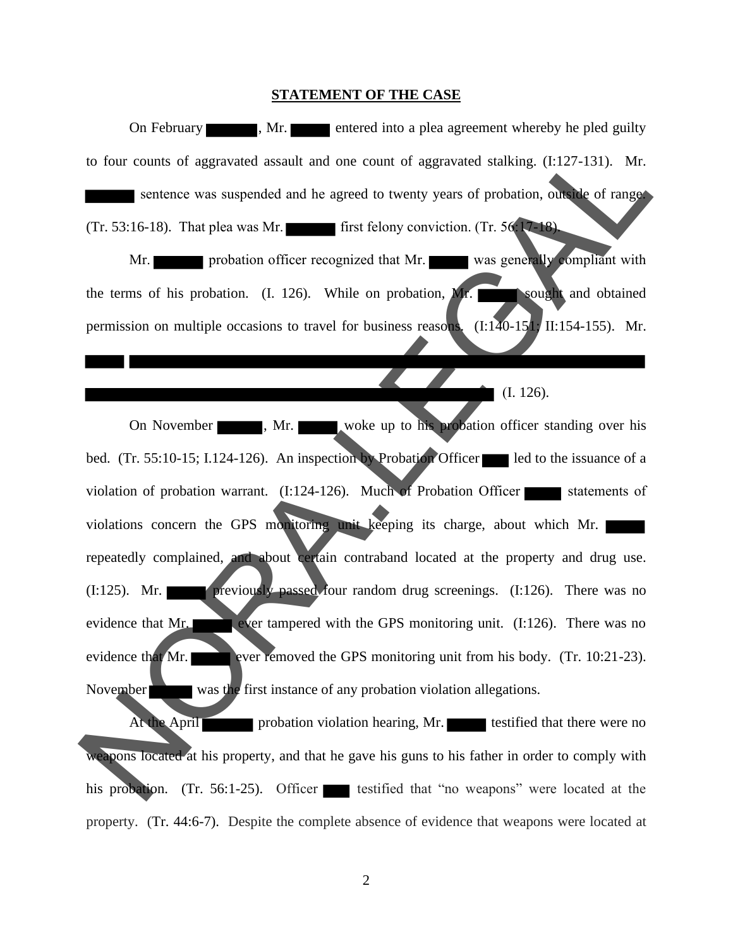#### **STATEMENT OF THE CASE**

On February , Mr. entered into a plea agreement whereby he pled guilty to four counts of aggravated assault and one count of aggravated stalking. (I:127-131). Mr. sentence was suspended and he agreed to twenty years of probation, outside of range. (Tr. 53:16-18). That plea was Mr. first felony conviction. (Tr. 56:17-18). Mr. **probation officer recognized that Mr.** was generally compliant with the terms of his probation.  $(I. 126)$ . While on probation, Mr. sought and obtained permission on multiple occasions to travel for business reasons. (I:140-151; II:154-155). Mr. (I. 126). On November , Mr. woke up to his probation officer standing over his bed. (Tr. 55:10-15; I.124-126). An inspection by Probation Officer led to the issuance of a violation of probation warrant.  $(I:124-126)$ . Much of Probation Officer statements of violations concern the GPS monitoring unit keeping its charge, about which Mr. repeatedly complained, and about certain contraband located at the property and drug use. (I:125). Mr. **previously passed four random drug screenings.** (I:126). There was no evidence that Mr. ever tampered with the GPS monitoring unit. (I:126). There was no evidence that Mr. ever removed the GPS monitoring unit from his body. (Tr.  $10:21-23$ ). November was the first instance of any probation violation allegations. At the April **probation violation hearing, Mr.** testified that there were no weapons located at his property, and that he gave his guns to his father in order to comply with his probation. (Tr. 56:1-25). Officer testified that "no weapons" were located at the to four counts of aggravated assault and one count of aggravated stakling. (1:127-131). Mr.<br>
sentence was suspended and he agreed to twenty years of probation, curve of magnetic<br>
(Tr. 53:16-18). That plea was Mr.<br>
Mr.<br>
In

property. ( Tr. 44:6-7). Despite the complete absence of evidence that weapons were located at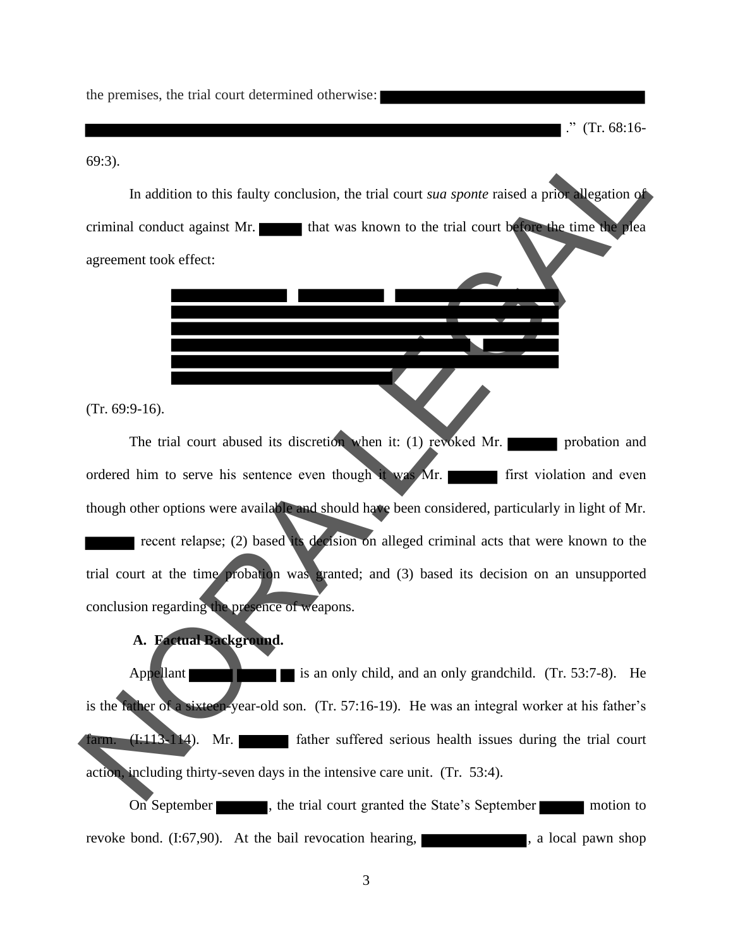the premises, the trial court determined otherwise:

." (Tr. 68:16-

69:3).

In addition to this faulty conclusion, the trial court *sua sponte* raised a prior allegation of criminal conduct against Mr. **that was known to the trial court before the time the plea** agreement took effect:

I

í

(Tr. 69:9-16).

The trial court abused its discretion when it: (1) revoked Mr. ordered him to serve his sentence even though it was Mr. first violation and even though other options were available and should have been considered, particularly in light of Mr. recent relapse; (2) based its decision on alleged criminal acts that were known to the trial court at the time probation was granted; and (3) based its decision on an unsupported conclusion regarding the presence of weapons. (9:3).<br>
In addition to this faulty conclusion, the trial court *sua sponse* raised a prior degention of<br>
criminal conduct against Mr.<br> **IDENTIFY (The CALL CONTAINSTER)** that was known to the trial court between the line o

#### **A. Factual Background.**

Appellant is an only child, and an only grandchild.  $(Tr. 53:7-8)$ . He is the father of a sixteen-year-old son. (Tr. 57:16-19). He was an integral worker at his father's farm.  $(I:113-114)$ . Mr. father suffered serious health issues during the trial court action, including thirty-seven days in the intensive care unit. (Tr. 53:4).

On September  $\blacksquare$ , the trial court granted the State's September motion to revoke bond. (I:67,90). At the bail revocation hearing, state of the state and pawn shop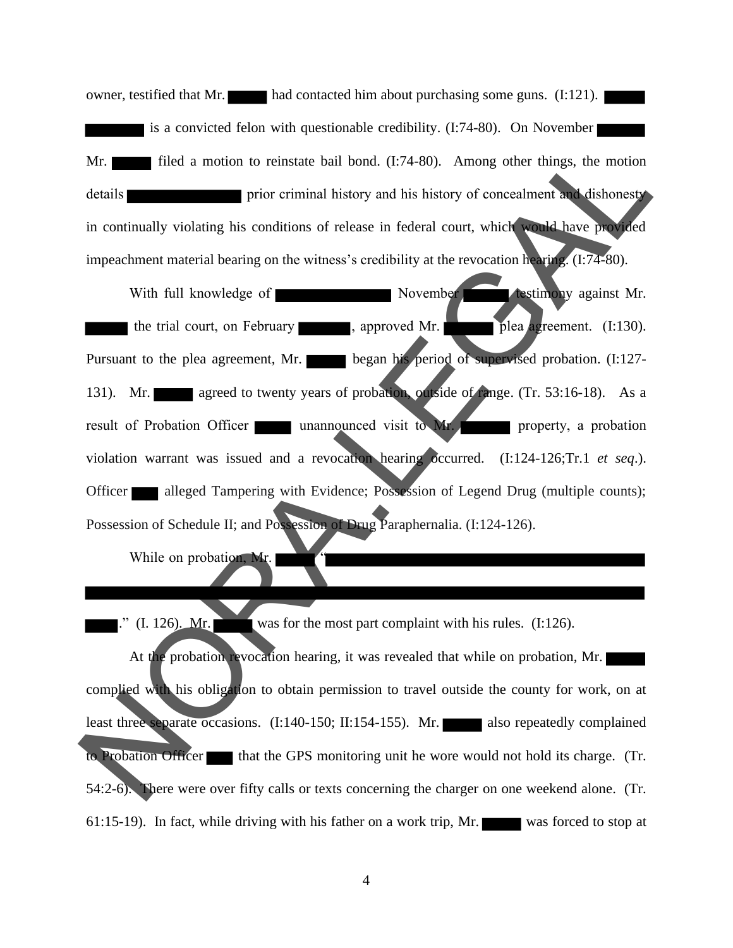owner, testified that Mr. had contacted him about purchasing some guns. (I:121). is a convicted felon with questionable credibility. (I:74-80). On November Mr. **filled** a motion to reinstate bail bond. (I:74-80). Among other things, the motion details **prior** prior criminal history and his history of concealment and dishonesty in continually violating his conditions of release in federal court, which would have provided impeachment material bearing on the witness's credibility at the revocation hearing. (I:74-80).

With full knowledge of November **November testimony** against Mr. the trial court, on February , approved Mr. plea agreement. (I:130). Pursuant to the plea agreement, Mr. began his period of supervised probation. (I:127-131). Mr. agreed to twenty years of probation, outside of range. (Tr. 53:16-18). As a result of Probation Officer unannounced visit to Mr. violation warrant was issued and a revocation hearing occurred. (I:124-126;Tr.1 *et seq*.). Officer alleged Tampering with Evidence; Possession of Legend Drug (multiple counts); Possession of Schedule II; and Possession of Drug Paraphernalia. (I:124-126). Mr.<br>
This divina the motion to reinstate bail bond. (1:74-80). Among other things, the motion<br>
details<br>
in continually violating is conditions of release in federal court, which<br>
impeachment material benring on the witnes

While on probation, Mr.

 $\therefore$  (I. 126). Mr. was for the most part complaint with his rules. (I:126).

At the probation revocation hearing, it was revealed that while on probation, Mr. complied with his obligation to obtain permission to travel outside the county for work, on at least three separate occasions. (I:140-150; II:154-155). Mr. also repeatedly complained to Probation Officer that the GPS monitoring unit he wore would not hold its charge. (Tr. 54:2-6). There were over fifty calls or texts concerning the charger on one weekend alone. (Tr. 61:15-19) . In fact, while driving with his father on a work trip, Mr. was forced to stop at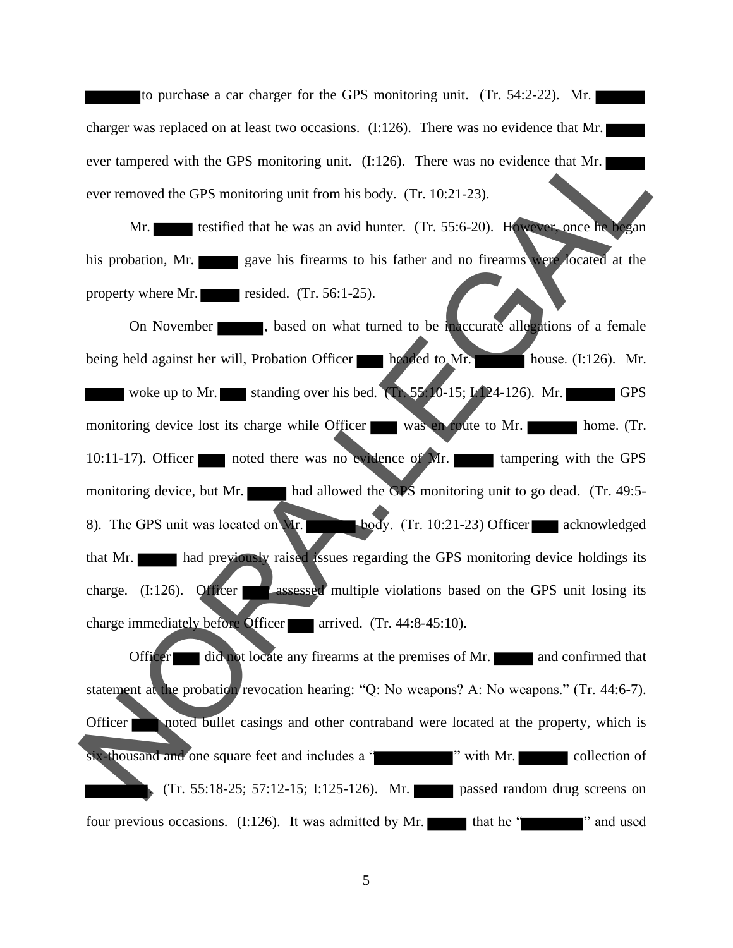to purchase a car charger for the GPS monitoring unit. (Tr. 54:2-22). Mr. charger was replaced on at least two occasions. (I:126). There was no evidence that Mr. ever tampered with the GPS monitoring unit. (I:126). There was no evidence that Mr. ever removed the GPS monitoring unit from his body. (Tr. 10:21-23).

Mr. testified that he was an avid hunter. (Tr. 55:6-20). However, once he began his probation, Mr. gave his firearms to his father and no firearms were located at the property where Mr. resided.  $(Tr. 56:1-25)$ .

On November , based on what turned to be inaccurate allegations of a female being held against her will, Probation Officer headed to Mr. house. (I:126). Mr. woke up to Mr. standing over his bed.  $(Tr, 55:10-15; I:124-126)$ . Mr. monitoring device lost its charge while Officer was en route to Mr. home. (Tr. 10:11-17). Officer noted there was no evidence of Mr. tampering with the GPS monitoring device, but Mr. had allowed the GPS monitoring unit to go dead. (Tr. 49:5-8). The GPS unit was located on Mr. body. (Tr. 10:21-23) Officer acknowledged that Mr. had previously raised issues regarding the GPS monitoring device holdings its charge.  $(I:126)$ . Officer assessed multiple violations based on the GPS unit losing its charge immediately before Officer arrived.  $(Tr. 44:8-45:10)$ . ever tampered with the GPS monitoring unit. (1:126). There was no evidence that Mr.<br>
ever removed the GPS monitoring unit from his body. (1r. 10:21-23).<br>
Mr. seve his firetams to his father and no Iireams<br>
his probation.

Officer did not locate any firearms at the premises of Mr.  $\Box$  and confirmed that statement at the probation revocation hearing: "Q: No weapons? A: No weapons." (Tr. 44:6-7). Officer noted bullet casings and other contraband were located at the property, which is six-thousand and one square feet and includes a " " with Mr. collection of . (Tr. 55:18-25; 57:12-15; I:125-126). Mr. passed random drug screens on four previous occasions.  $(I:126)$ . It was admitted by Mr. that he " " " and used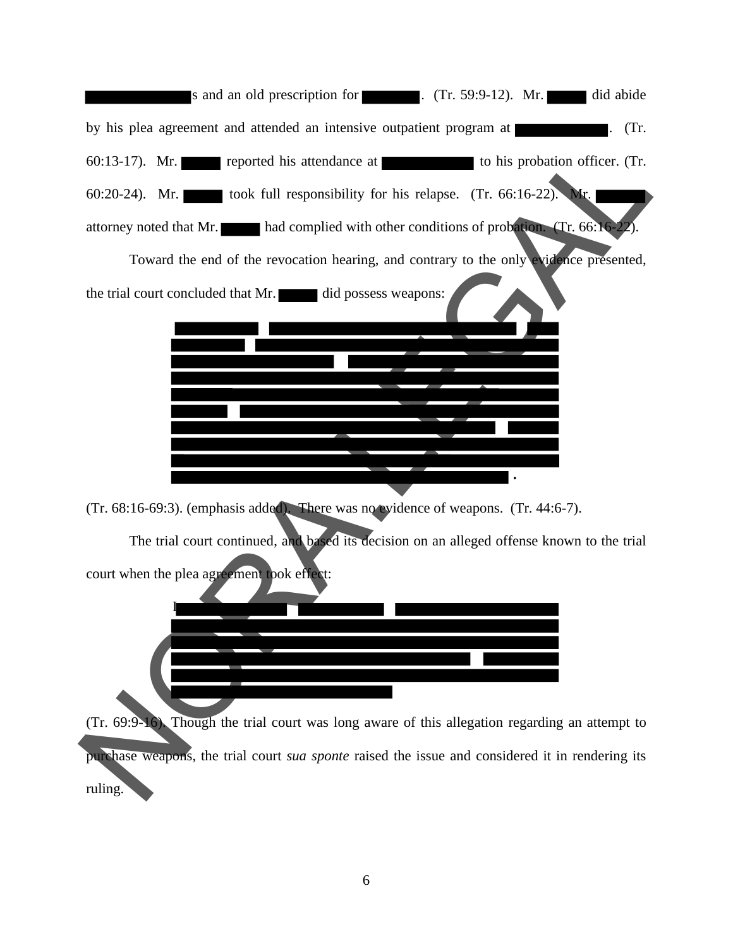s and an old prescription for . (Tr. 59:9-12). Mr. did abide by his plea agreement and attended an intensive outpatient program at . (Tr. 60:13-17). Mr. reported his attendance at to his probation officer. (Tr. 60:20-24). Mr. took full responsibility for his relapse. (Tr. 66:16-22). attorney noted that Mr. had complied with other conditions of probation. (Tr. 66:16-

| <u> 1980 - Jan Barnett, fransk politiker</u><br>to his probation officer. (Tr.<br>$60:13-17$ ). Mr.<br>reported his attendance at |
|-----------------------------------------------------------------------------------------------------------------------------------|
| took full responsibility for his relapse. (Tr. 66:16-22).<br>$60:20-24$ ). Mr.<br>Mr.                                             |
| attorney noted that Mr. had complied with other conditions of probation. (Tr. 66:16-22).                                          |
| Toward the end of the revocation hearing, and contrary to the only evidence presented,                                            |
| the trial court concluded that Mr. did possess weapons:                                                                           |
|                                                                                                                                   |
|                                                                                                                                   |
|                                                                                                                                   |
|                                                                                                                                   |
|                                                                                                                                   |
|                                                                                                                                   |
| (Tr. 68:16-69:3). (emphasis added). There was no evidence of weapons. (Tr. 44:6-7).                                               |
| The trial court continued, and based its decision on an alleged offense known to the trial                                        |
| court when the plea agreement took effect:                                                                                        |
|                                                                                                                                   |
|                                                                                                                                   |
|                                                                                                                                   |
|                                                                                                                                   |
|                                                                                                                                   |
| (Tr. 69:9-16). Though the trial court was long aware of this allegation regarding an attempt to                                   |
| purchase weapons, the trial court sua sponte raised the issue and considered it in rendering its                                  |
| ruling.                                                                                                                           |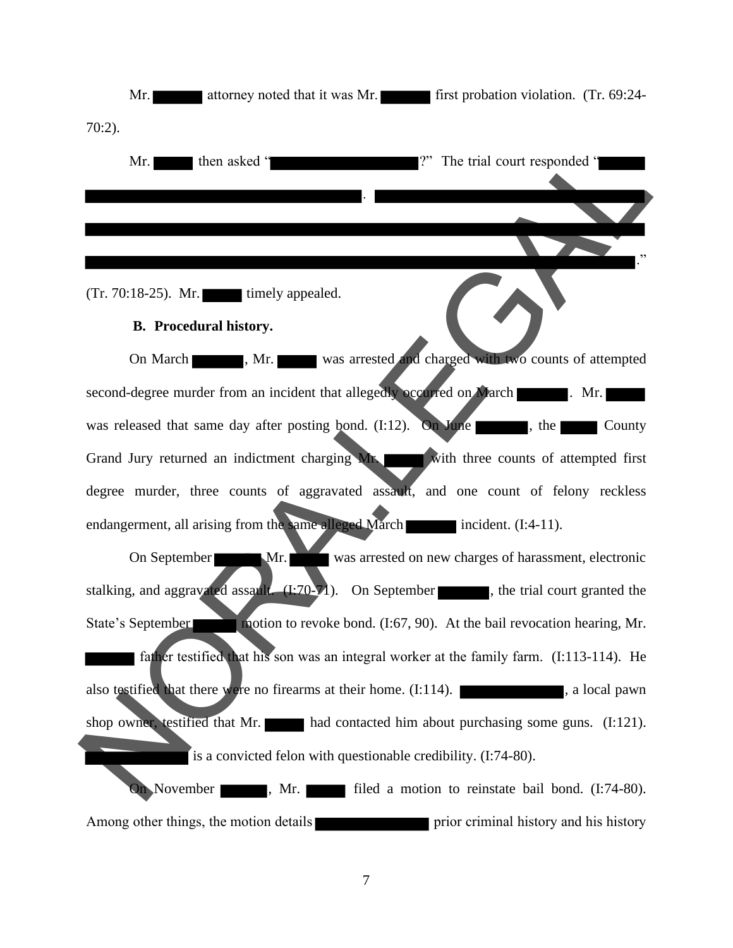

7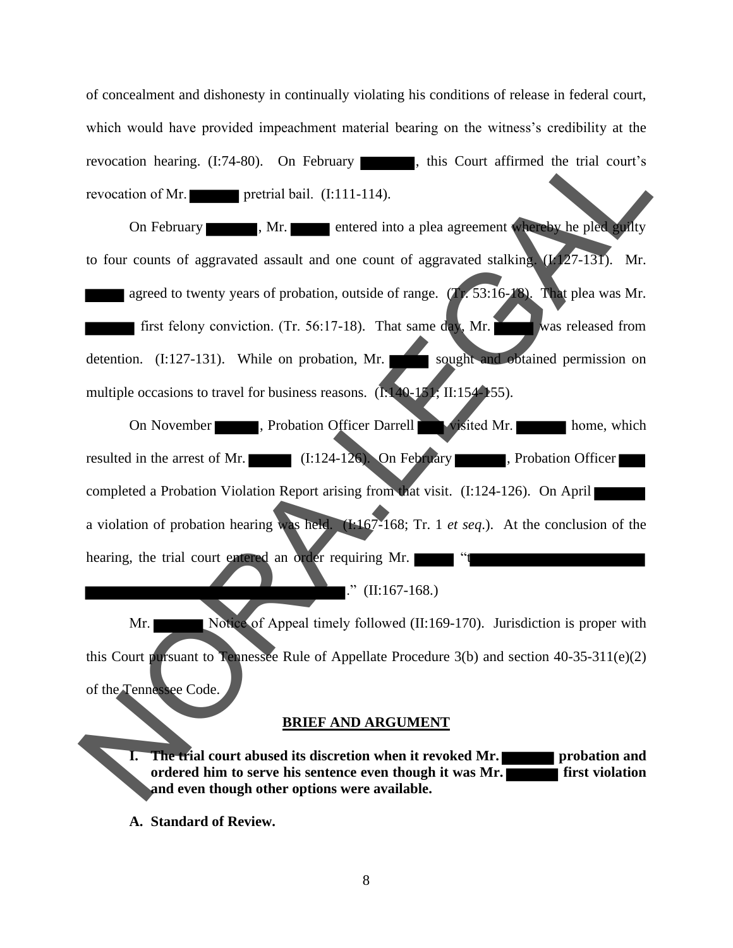of concealment and dishonesty in continually violating his conditions of release in federal court, which would have provided impeachment material bearing on the witness's credibility at the revocation hearing.  $(I:74-80)$ . On February , this Court affirmed the trial court's revocation of Mr.

On February , Mr. entered into a plea agreement whereby he pled guilty to four counts of aggravated assault and one count of aggravated stalking.  $(1/27-131)$ . Mr. agreed to twenty years of probation, outside of range.  $(Tr. 53:16-18)$ . That plea was Mr. first felony conviction. (Tr. 56:17-18). That same day, Mr. was released from detention.  $(I:127-131)$ . While on probation, Mr. sought and obtained permission on multiple occasions to travel for business reasons.  $(1.140-151, \text{II}:154-155)$ . revocation bearing. (1:74-80). On February and based to the precision of Mr.<br>
The control of the countries are the countries and the countries are the countries and the countries are the countries are the countries are th

On November , Probation Officer Darrell visited Mr. home, which resulted in the arrest of Mr. (I:124-126). On February , Probation Officer completed a Probation Violation Report arising from that visit. (I:124-126). On April a violation of probation hearing was held. (I:167-168; Tr. 1 *et seq*.). At the conclusion of the hearing, the trial court entered an order requiring Mr.

." (II:167-168.)

Mr. Notice of Appeal timely followed (II:169-170). Jurisdiction is proper with this Court pursuant to Tennessee Rule of Appellate Procedure 3(b) and section 40-35-311(e)(2) of the Tennessee Code.

## **BRIEF AND ARGUMENT**

**I. The trial court abused its discretion when it revoked Mr. <b>Probation and ordered him to serve his sentence even though it was Mr. first violation and even though other options were available.**

**A. Standard of Review.**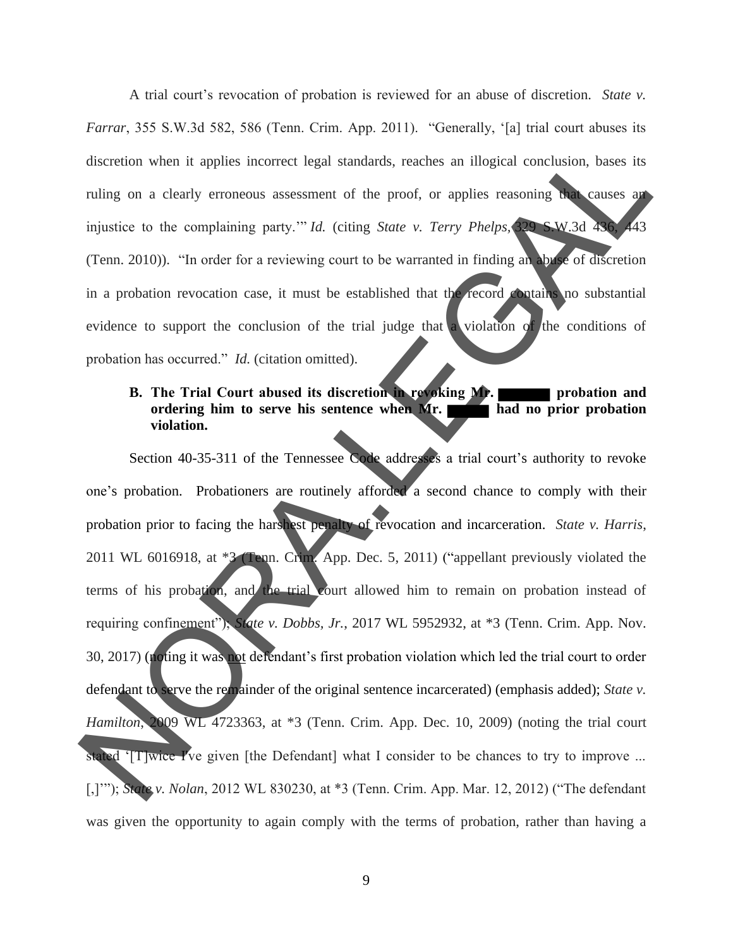A trial court's revocation of probation is reviewed for an abuse of discretion. *State v. Farrar*, 355 S.W.3d 582, 586 (Tenn. Crim. App. 2011). "Generally, '[a] trial court abuses its discretion when it applies incorrect legal standards, reaches an illogical conclusion, bases its ruling on a clearly erroneous assessment of the proof, or applies reasoning that causes an injustice to the complaining party." *Id.* (citing *State v. Terry Phelps,* 329 S.W.3d 436, (Tenn. 2010)). "In order for a reviewing court to be warranted in finding an abuse of discretion in a probation revocation case, it must be established that the record contains no substantial evidence to support the conclusion of the trial judge that a violation of the conditions of probation has occurred." *Id.* (citation omitted).

## **B.** The Trial Court abused its discretion in revoking Mr. **ordering him to serve his sentence when Mr. had no prior probation violation.**

Section 40-35-311 of the Tennessee Code addresses a trial court's authority to revoke one's probation. Probationers are routinely afforded a second chance to comply with their probation prior to facing the harshest penalty of revocation and incarceration. *State v. Harris*, 2011 WL 6016918, at \*3 (Tenn. Crim. App. Dec. 5, 2011) ("appellant previously violated the terms of his probation, and the trial court allowed him to remain on probation instead of requiring confinement"); *State v. Dobbs, Jr.*, 2017 WL 5952932, at \*3 (Tenn. Crim. App. Nov. 30, 2017) (noting it was not defendant's first probation violation which led the trial court to order defendant to serve the remainder of the original sentence incarcerated) (emphasis added); *State v. Hamilton*, 2009 WL 4723363, at \*3 (Tenn. Crim. App. Dec. 10, 2009) (noting the trial court stated '[T]wice I've given [the Defendant] what I consider to be chances to try to improve ... [,]'"); *State v. Nolan*, 2012 WL 830230, at \*3 (Tenn. Crim. App. Mar. 12, 2012) ("The defendant was given the opportunity to again comply with the terms of p robation, rather than having a discretion when it applies incorrect legal standards, reaches an illogical conclusion, bases its<br>ruling on a clearly erroneous assessment of the proof, or applies reasoning **m** causes an<br>injustice to the complaining party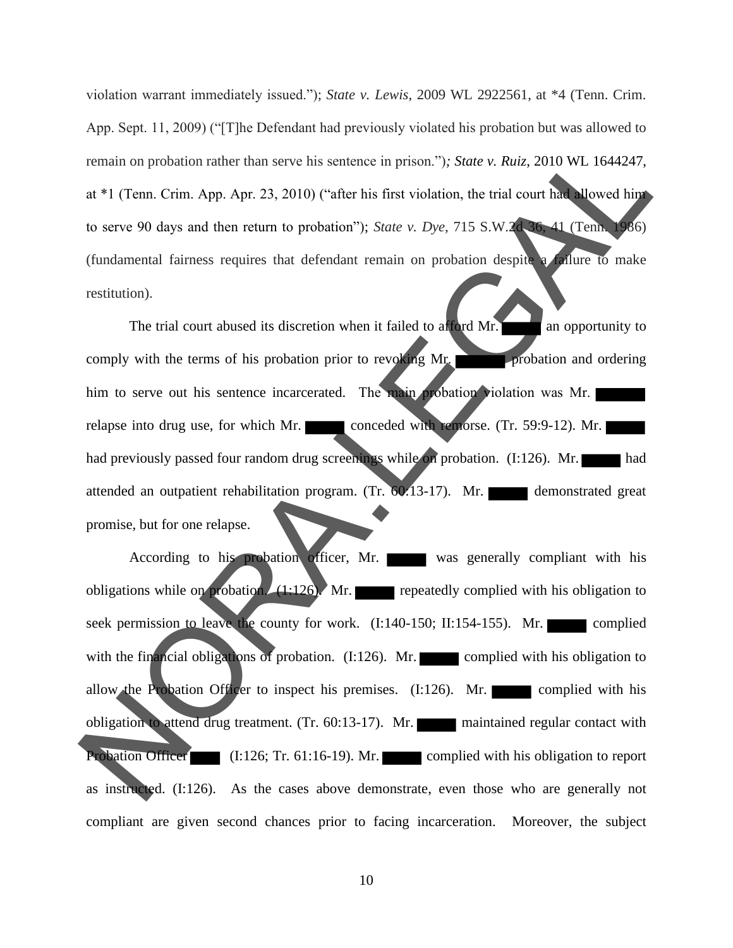violation warrant immediately issued."); *State v. Lewis*, 2009 WL 2922561, at \*4 (Tenn. Crim. App. Sept. 11, 2009) ("[T]he Defendant had previously violated his probation but was allowed to remain on probation rather than serve his sentence in prison.")*; State v. Ruiz*, 2010 WL 1644247, at \*1 (Tenn. Crim. App. Apr. 23, 2010) ("after his first violation, the trial court had allowed him to serve 90 days and then return to probation"); *State v. Dye,* 715 S.W.2d 36, 41 (Tenn. 1986) (fundamental fairness requires that defendant remain on probation despite a failure to make restitution).

The trial court abused its discretion when it failed to afford Mr. **The last opportunity to** comply with the terms of his probation prior to revoking Mr. him to serve out his sentence incarcerated. The main probation violation was Mr. relapse into drug use, for which Mr. conceded with remorse. (Tr. 59:9-12). Mr. had previously passed four random drug screenings while on probation.  $(I:126)$ . Mr. attended an outpatient rehabilitation program. (Tr. 60.13-17). Mr. demonstrated great promise, but for one relapse.

According to his probation officer, Mr. was generally compliant with his obligations while on probation.  $(1:126)$ . Mr. repeatedly complied with his obligation to seek permission to leave the county for work. (I:140-150; II:154-155). Mr. complied with the financial obligations of probation.  $(I:126)$ . Mr. complied with his obligation to allow the Probation Officer to inspect his premises.  $(I:126)$ . Mr. complied with his obligation to attend drug treatment. (Tr. 60:13-17). Mr. maintained regular contact with Probation Officer (I:126; Tr. 61:16-19). Mr. complied with his obligation to report as instructed. (I:126). As the cases above demonstrate, even those who are generally not compliant are given second chances prior to facing incarceration. Moreover, the subject remain on probation rather than serve his sentence in prison."); State v. Ruiz, 2010 WL 1641247,<br>
at \*1 (Fem. Crim. App. Apr. 23, 2010) ("after his first violation, the trial court has<br>
to serve 90 days and then return to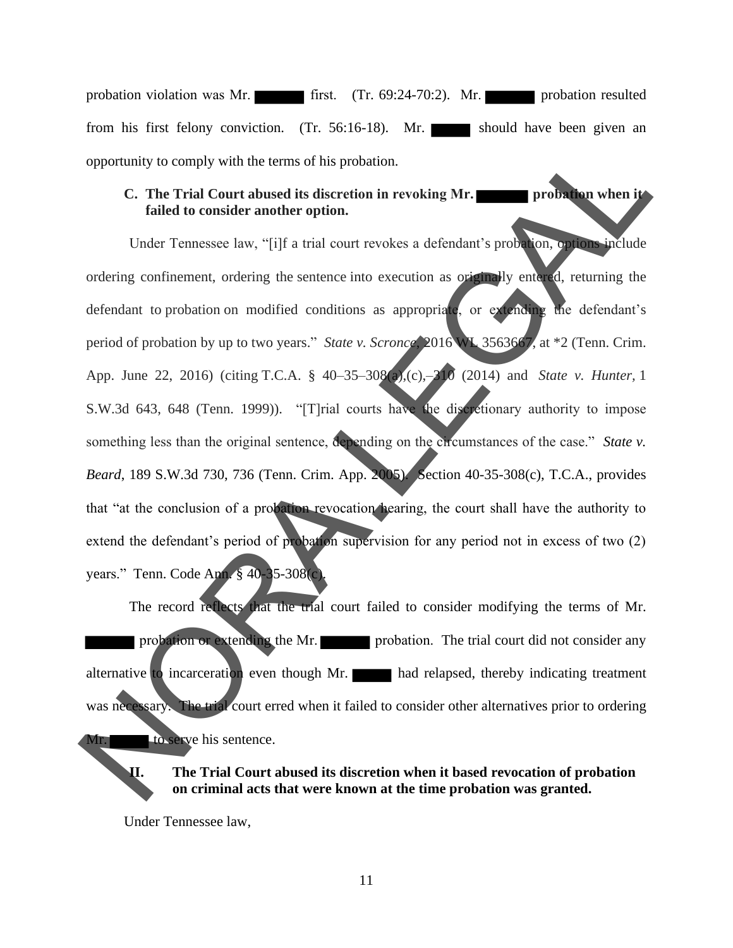probation violation was Mr. first. (Tr. 69:24-70:2). Mr. probation resulted from his first felony conviction. (Tr. 56:16-18). Mr. should have been given an opportunity to comply with the terms of his probation.

#### **C.** The Trial Court abused its discretion in revoking Mr. **failed to consider another option.**

Under Tennessee law, "[i]f a trial court revokes a defendant's probation, options include ordering confinement, ordering the sentence into execution as originally entered, returning the defendant to probation on modified conditions as appropriate, or extending the defendant's period of probation by up to two years." *State v. Scronce*, 2016 WL 3563667, at \*2 (Tenn. Crim. App. June 22, 2016) (citing T.C.A. § 40–35–308(a),(c),–310 (2014) and *State v. Hunter,* 1 S.W.3d 643, 648 (Tenn. 1999)). "[T]rial courts have the discretionary authority to impose something less than the original sentence, depending on the circumstances of the case." *State v. Beard*, 189 S.W.3d 730, 736 (Tenn. Crim. App. 2005). Section 40-35-308(c), T.C.A., provides that "at the conclusion of a probation revocation hearing, the court shall have the authority to extend the defendant's period of probation supervision for any period not in excess of two (2) years." Tenn. Code Ann. § 40-35-308(c). opportunity to comply with the terms of his probation.<br>
C. The Trial Court abused its discretion in revoking Mr.<br>
Inder Temessee law, "Fijl" a trial court revokes a defendant's probability.<br>
Inder Temessee law, "Fijl" a t

The record reflects that the trial court failed to consider modifying the terms of Mr. probation or extending the Mr. probation. The trial court did not consider any alternative to incarceration even though Mr. had relapsed, thereby indicating treatment was necessary. The trial court erred when it failed to consider other alternatives prior to ordering to serve his sentence.

**II. The Trial Court abused its discretion when it based revocation of probation on criminal acts that were known at the time probation was granted.** 

Under Tennessee law,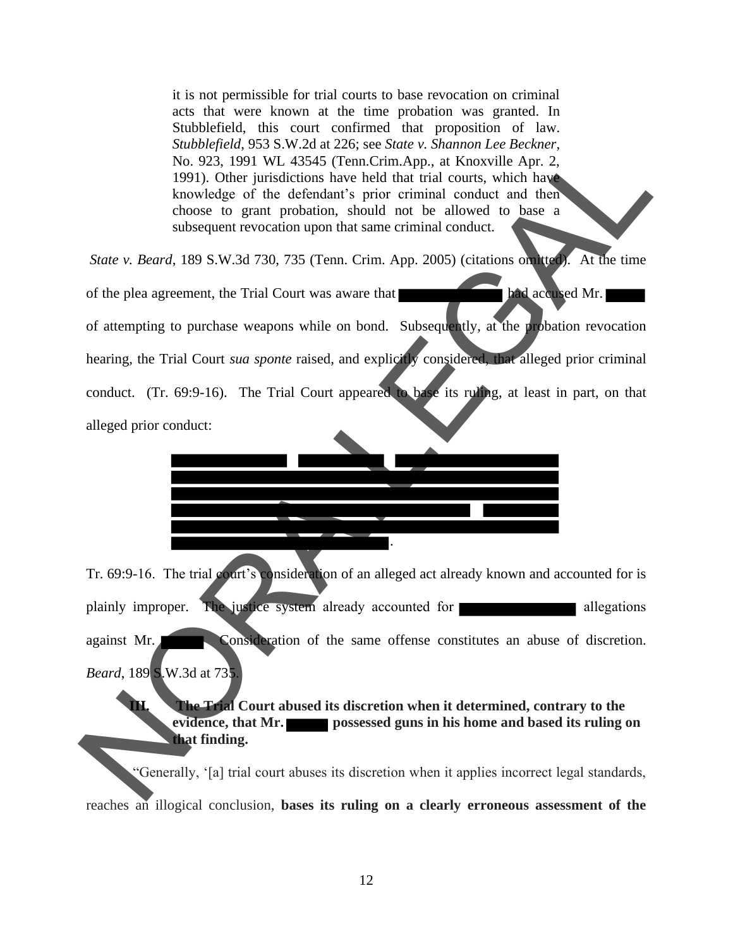it is not permissible for trial courts to base revocation on criminal acts that were known at the time probation was granted. In Stubblefield, this court confirmed that proposition of law. *Stubblefield*, 953 S.W.2d at 226; see *State v. Shannon Lee Beckner*, No. 923, 1991 WL 43545 (Tenn.Crim.App., at Knoxville Apr. 2, 1991). Other jurisdictions have held that trial courts, which have knowledge of the defendant's prior criminal conduct and then choose to grant probation, should not be allowed to base a subsequent revocation upon that same criminal conduct.

*State v. Beard*, 189 S.W.3d 730, 735 (Tenn. Crim. App. 2005) (citations omitted). At the time

of the plea agreement, the Trial Court was aware that had accused Mr. of attempting to purchase weapons while on bond. Subsequently, at the probation revocation hearing, the Trial Court *sua sponte* raised, and explicitly considered, that alleged prior criminal conduct. (Tr. 69:9-16). The Trial Court appeared to base its ruling, at least in part, on that alleged prior conduct: Stabilistical 953 S.W.2d at 255 see State v. Bonoma Lee Recover, the Recovery and the same of the same of the same of the same of the same showed by the property property property property and the same shows the show to t



Tr. 69:9-16. The trial court's consideration of an alleged act already known and accounted for is plainly improper. The justice system already accounted for against Mr. Consideration of the same offense constitutes an abuse of discretion. *Beard*, 189 S.W.3d at 735.

**III. The Trial Court abused its discretion when it determined, contrary to the evidence, that Mr. possessed guns in his home and based its ruling on that finding.** 

"Generally, '[a] trial court abuses its discretion when it applies incorrect legal standards, reaches an illogical conclusion, **bases its ruling on a clearly erroneous assessment of the**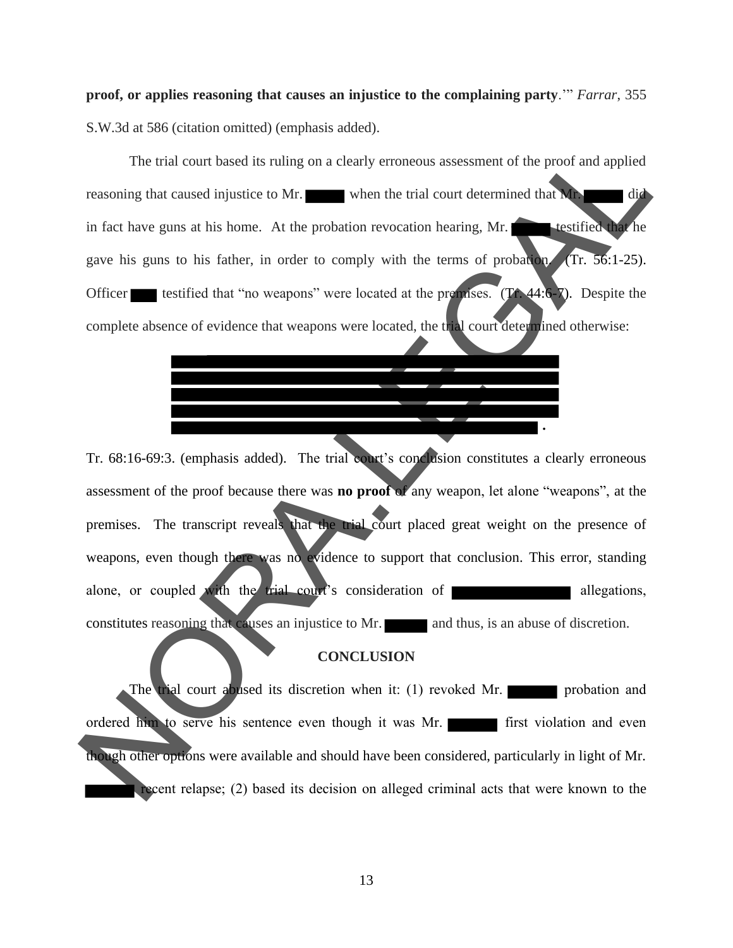**proof, or applies reasoning that causes an injustice to the complaining party**.'" *Farrar*, 355 S.W.3d at 586 (citation omitted) (emphasis added).

The trial court based its ruling on a clearly erroneous assessment of the proof and applied reasoning that caused injustice to Mr. when the trial court determined that Mr. in fact have guns at his home. At the probation revocation hearing, Mr. testified that he gave his guns to his father, in order to comply with the terms of probation. (Tr. 56:1-25). Officer testified that "no weapons" were located at the premises.  $(TA.44:6-7)$ . Despite the complete absence of evidence that weapons were located, the trial court determined otherwise: The cost control and the search is the probable and state of the proof and applied<br>
The cost cost of the probable when the trial court determined that and<br>
in fact have guas at his home. At the probable neveration hearing,

Tr. 68:16-69:3. (emphasis added).The trial court's conclusion constitutes a clearly erroneous assessment of the proof because there was **no proof** of any weapon, let alone "weapons", at the premises. The transcript reveals that the trial court placed great weight on the presence of weapons, even though there was no evidence to support that conclusion. This error, standing alone, or coupled with the trial court's consideration of allegations, constitutes reasoning that causes an injustice to Mr. **and thus**, is an abuse of discretion.

 **.** 

#### **CONCLUSION**

The trial court abused its discretion when it: (1) revoked Mr. ordered him to serve his sentence even though it was Mr. **First** violation and even though other options were available and should have been considered, particularly in light of Mr. recent relapse; (2) based its decision on alleged criminal acts that were known to the